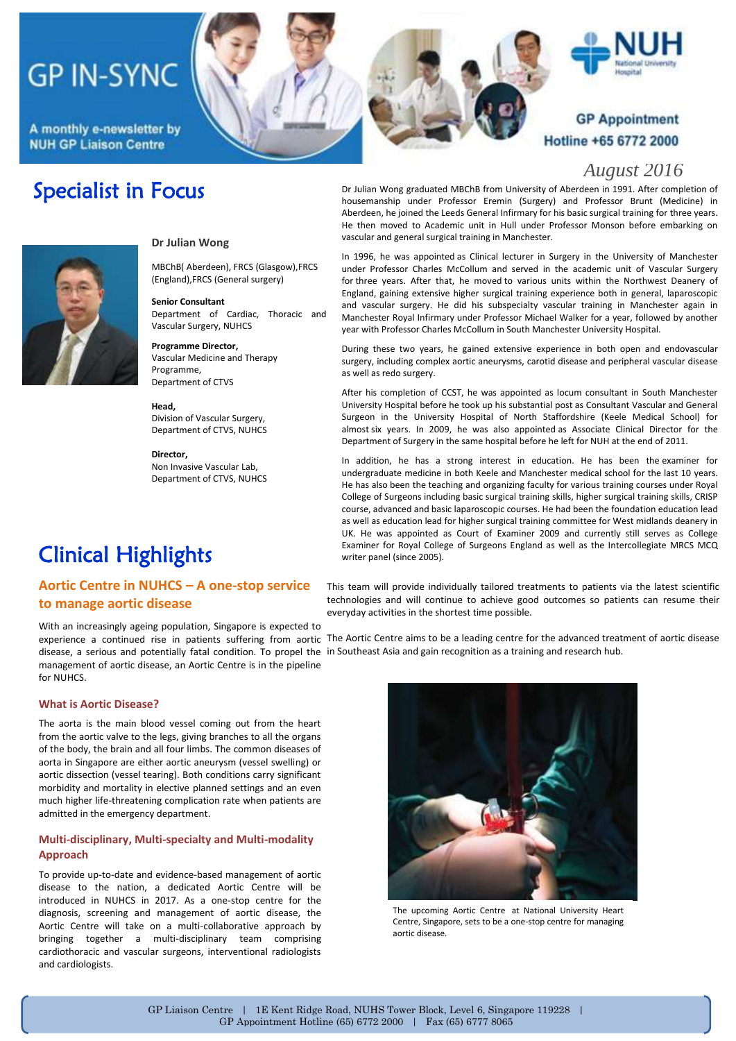# **GP IN-SYNC**

A monthly e-newsletter by **NUH GP Liaison Centre** 

### **GP Appointment** Hotline +65 6772 2000

#### *August 2016*

### Specialist in Focus



#### **Dr Julian Wong**

MBChB( Aberdeen), FRCS (Glasgow),FRCS (England),FRCS (General surgery)

**Senior Consultant** Department of Cardiac, Thoracic and Vascular Surgery, NUHCS

**Programme Director,** Vascular Medicine and Therapy Programme, Department of CTVS

**Head,** Division of Vascular Surgery, Department of CTVS, NUHCS

**Director,** Non Invasive Vascular Lab, Department of CTVS, NUHCS

### Clinical Highlights

#### **Aortic Centre in NUHCS** *–* **A one-stop service to manage aortic disease**

disease, a serious and potentially fatal condition. To propel the in Southeast Asia and gain recognition as a training and research hub. With an increasingly ageing population, Singapore is expected to management of aortic disease, an Aortic Centre is in the pipeline for NUHCS.

#### **What is Aortic Disease?**

The aorta is the main blood vessel coming out from the heart from the aortic valve to the legs, giving branches to all the organs of the body, the brain and all four limbs. The common diseases of aorta in Singapore are either aortic aneurysm (vessel swelling) or aortic dissection (vessel tearing). Both conditions carry significant morbidity and mortality in elective planned settings and an even much higher life-threatening complication rate when patients are admitted in the emergency department.

#### **Multi-disciplinary, Multi-specialty and Multi-modality Approach**

To provide up-to-date and evidence-based management of aortic disease to the nation, a dedicated Aortic Centre will be introduced in NUHCS in 2017. As a one-stop centre for the diagnosis, screening and management of aortic disease, the Aortic Centre will take on a multi-collaborative approach by bringing together a multi-disciplinary team comprising cardiothoracic and vascular surgeons, interventional radiologists and cardiologists.

Dr Julian Wong graduated MBChB from University of Aberdeen in 1991. After completion of housemanship under Professor Eremin (Surgery) and Professor Brunt (Medicine) in Aberdeen, he joined the Leeds General Infirmary for his basic surgical training for three years. He then moved to Academic unit in Hull under Professor Monson before embarking on vascular and general surgical training in Manchester.

In 1996, he was appointed as Clinical lecturer in Surgery in the University of Manchester under Professor Charles McCollum and served in the academic unit of Vascular Surgery for three years. After that, he moved to various units within the Northwest Deanery of England, gaining extensive higher surgical training experience both in general, laparoscopic and vascular surgery. He did his subspecialty vascular training in Manchester again in Manchester Royal Infirmary under Professor Michael Walker for a year, followed by another year with Professor Charles McCollum in South Manchester University Hospital.

During these two years, he gained extensive experience in both open and endovascular surgery, including complex aortic aneurysms, carotid disease and peripheral vascular disease as well as redo surgery.

After his completion of CCST, he was appointed as locum consultant in South Manchester University Hospital before he took up his substantial post as Consultant Vascular and General Surgeon in the University Hospital of North Staffordshire (Keele Medical School) for almost six years. In 2009, he was also appointed as Associate Clinical Director for the Department of Surgery in the same hospital before he left for NUH at the end of 2011.

In addition, he has a strong interest in education. He has been the examiner for undergraduate medicine in both Keele and Manchester medical school for the last 10 years. He has also been the teaching and organizing faculty for various training courses under Royal College of Surgeons including basic surgical training skills, higher surgical training skills, CRISP course, advanced and basic laparoscopic courses. He had been the foundation education lead as well as education lead for higher surgical training committee for West midlands deanery in UK. He was appointed as Court of Examiner 2009 and currently still serves as College Examiner for Royal College of Surgeons England as well as the Intercollegiate MRCS MCQ writer panel (since 2005).

This team will provide individually tailored treatments to patients via the latest scientific technologies and will continue to achieve good outcomes so patients can resume their everyday activities in the shortest time possible.

experience a continued rise in patients suffering from aortic The Aortic Centre aims to be a leading centre for the advanced treatment of aortic disease



The upcoming Aortic Centre at National University Heart Centre, Singapore, sets to be a one-stop centre for managing aortic disease.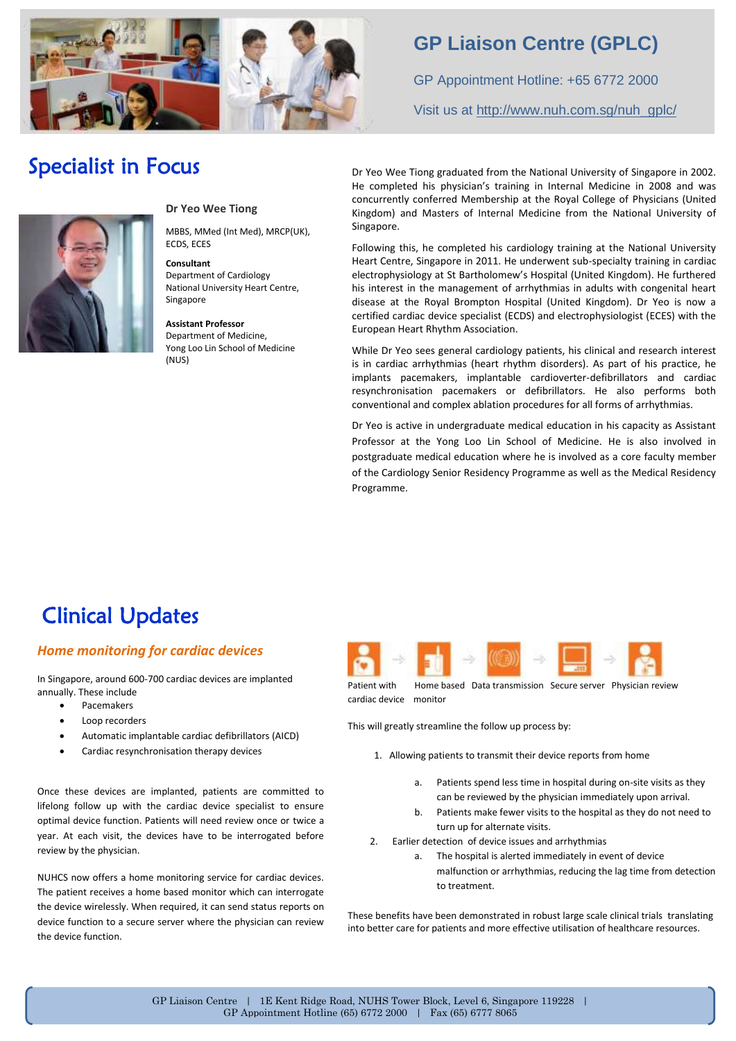

### **GP Liaison Centre (GPLC)**

GP Appointment Hotline: +65 6772 2000 Visit us at [http://www.nuh.com.sg/nuh\\_gplc/](http://www.nuh.com.sg/nuh_gplc/)

### Specialist in Focus



#### **Dr Yeo Wee Tiong**

MBBS, MMed (Int Med), MRCP(UK), ECDS, ECES

**Consultant**  Department of Cardiology National University Heart Centre, Singapore

**Assistant Professor**  Department of Medicine, Yong Loo Lin School of Medicine (NUS)

Dr Yeo Wee Tiong graduated from the National University of Singapore in 2002. He completed his physician's training in Internal Medicine in 2008 and was concurrently conferred Membership at the Royal College of Physicians (United Kingdom) and Masters of Internal Medicine from the National University of Singapore.

Following this, he completed his cardiology training at the National University Heart Centre, Singapore in 2011. He underwent sub-specialty training in cardiac electrophysiology at St Bartholomew's Hospital (United Kingdom). He furthered his interest in the management of arrhythmias in adults with congenital heart disease at the Royal Brompton Hospital (United Kingdom). Dr Yeo is now a certified cardiac device specialist (ECDS) and electrophysiologist (ECES) with the European Heart Rhythm Association.

While Dr Yeo sees general cardiology patients, his clinical and research interest is in cardiac arrhythmias (heart rhythm disorders). As part of his practice, he implants pacemakers, implantable cardioverter-defibrillators and cardiac resynchronisation pacemakers or defibrillators. He also performs both conventional and complex ablation procedures for all forms of arrhythmias.

Dr Yeo is active in undergraduate medical education in his capacity as Assistant Professor at the Yong Loo Lin School of Medicine. He is also involved in postgraduate medical education where he is involved as a core faculty member of the Cardiology Senior Residency Programme as well as the Medical Residency Programme.

## Clinical Updates

#### *Home monitoring for cardiac devices*

In Singapore, around 600-700 cardiac devices are implanted annually. These include

- Pacemakers
- Loop recorders
- Automatic implantable cardiac defibrillators (AICD)
- Cardiac resynchronisation therapy devices

Once these devices are implanted, patients are committed to lifelong follow up with the cardiac device specialist to ensure optimal device function. Patients will need review once or twice a year. At each visit, the devices have to be interrogated before review by the physician.

NUHCS now offers a home monitoring service for cardiac devices. The patient receives a home based monitor which can interrogate the device wirelessly. When required, it can send status reports on device function to a secure server where the physician can review the device function.



Patient with Home based Data transmission Secure server Physician review cardiac device monitor

This will greatly streamline the follow up process by:

- 1. Allowing patients to transmit their device reports from home
	- a. Patients spend less time in hospital during on-site visits as they can be reviewed by the physician immediately upon arrival.
	- b. Patients make fewer visits to the hospital as they do not need to turn up for alternate visits.
- 2. Earlier detection of device issues and arrhythmias
	- a. The hospital is alerted immediately in event of device malfunction or arrhythmias, reducing the lag time from detection to treatment.

These benefits have been demonstrated in robust large scale clinical trials translating into better care for patients and more effective utilisation of healthcare resources.